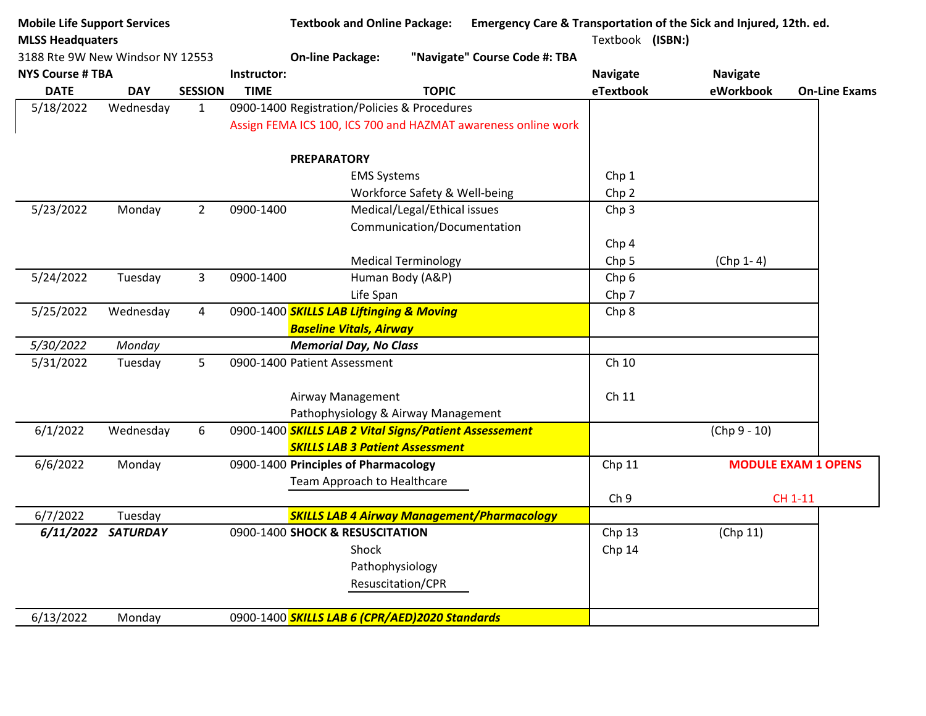| <b>Mobile Life Support Services</b> |                    |                |             | <b>Textbook and Online Package:</b>                           | Emergency Care & Transportation of the Sick and Injured, 12th. ed. |                   |                 |                            |
|-------------------------------------|--------------------|----------------|-------------|---------------------------------------------------------------|--------------------------------------------------------------------|-------------------|-----------------|----------------------------|
| <b>MLSS Headquaters</b>             |                    |                |             |                                                               |                                                                    | Textbook (ISBN:)  |                 |                            |
| 3188 Rte 9W New Windsor NY 12553    |                    |                |             | <b>On-line Package:</b>                                       | "Navigate" Course Code #: TBA                                      |                   |                 |                            |
| <b>NYS Course # TBA</b>             |                    |                | Instructor: |                                                               |                                                                    | <b>Navigate</b>   | <b>Navigate</b> |                            |
| <b>DATE</b>                         | <b>DAY</b>         | <b>SESSION</b> | <b>TIME</b> | <b>TOPIC</b>                                                  |                                                                    | eTextbook         | eWorkbook       | <b>On-Line Exams</b>       |
| 5/18/2022                           | Wednesday          | $\mathbf{1}$   |             | 0900-1400 Registration/Policies & Procedures                  |                                                                    |                   |                 |                            |
|                                     |                    |                |             | Assign FEMA ICS 100, ICS 700 and HAZMAT awareness online work |                                                                    |                   |                 |                            |
|                                     |                    |                |             | <b>PREPARATORY</b>                                            |                                                                    |                   |                 |                            |
|                                     |                    |                |             | <b>EMS Systems</b>                                            |                                                                    | Chp 1             |                 |                            |
|                                     |                    |                |             | Workforce Safety & Well-being                                 |                                                                    | Chp <sub>2</sub>  |                 |                            |
| 5/23/2022                           | Monday             | $2^{\circ}$    | 0900-1400   | Medical/Legal/Ethical issues                                  |                                                                    | Chp <sub>3</sub>  |                 |                            |
|                                     |                    |                |             | Communication/Documentation                                   |                                                                    |                   |                 |                            |
|                                     |                    |                |             |                                                               |                                                                    | Chp <sub>4</sub>  |                 |                            |
|                                     |                    |                |             | <b>Medical Terminology</b>                                    |                                                                    | Chp <sub>5</sub>  | $(Chp 1-4)$     |                            |
| 5/24/2022                           | Tuesday            | $\overline{3}$ | 0900-1400   | Human Body (A&P)                                              |                                                                    | Chp <sub>6</sub>  |                 |                            |
|                                     |                    |                |             | Life Span                                                     |                                                                    | Chp <sub>7</sub>  |                 |                            |
| 5/25/2022                           | Wednesday          | $\overline{4}$ |             | 0900-1400 SKILLS LAB Liftinging & Moving                      |                                                                    | Chp 8             |                 |                            |
|                                     |                    |                |             | <b>Baseline Vitals, Airway</b>                                |                                                                    |                   |                 |                            |
| 5/30/2022                           | Monday             |                |             | <b>Memorial Day, No Class</b>                                 |                                                                    |                   |                 |                            |
| 5/31/2022                           | Tuesday            | 5              |             | 0900-1400 Patient Assessment                                  |                                                                    | Ch 10             |                 |                            |
|                                     |                    |                |             | Airway Management                                             |                                                                    | Ch 11             |                 |                            |
|                                     |                    |                |             | Pathophysiology & Airway Management                           |                                                                    |                   |                 |                            |
| 6/1/2022                            | Wednesday          | 6              |             | 0900-1400 SKILLS LAB 2 Vital Signs/Patient Assessement        |                                                                    |                   | $(Chp 9 - 10)$  |                            |
|                                     |                    |                |             | <b>SKILLS LAB 3 Patient Assessment</b>                        |                                                                    |                   |                 |                            |
| 6/6/2022                            | Monday             |                |             | 0900-1400 Principles of Pharmacology                          |                                                                    | Chp 11            |                 | <b>MODULE EXAM 1 OPENS</b> |
|                                     |                    |                |             | Team Approach to Healthcare                                   |                                                                    |                   |                 |                            |
|                                     |                    |                |             |                                                               |                                                                    | Ch <sub>9</sub>   |                 | CH 1-11                    |
| 6/7/2022                            | Tuesday            |                |             | <b>SKILLS LAB 4 Airway Management/Pharmacology</b>            |                                                                    |                   |                 |                            |
|                                     | 6/11/2022 SATURDAY |                |             | 0900-1400 SHOCK & RESUSCITATION                               |                                                                    | Chp <sub>13</sub> | (Chp 11)        |                            |
|                                     |                    |                |             | Shock                                                         |                                                                    | Chp 14            |                 |                            |
|                                     |                    |                |             | Pathophysiology                                               |                                                                    |                   |                 |                            |
|                                     |                    |                |             | Resuscitation/CPR                                             |                                                                    |                   |                 |                            |
|                                     |                    |                |             |                                                               |                                                                    |                   |                 |                            |
| 6/13/2022                           | Monday             |                |             | 0900-1400 SKILLS LAB 6 (CPR/AED)2020 Standards                |                                                                    |                   |                 |                            |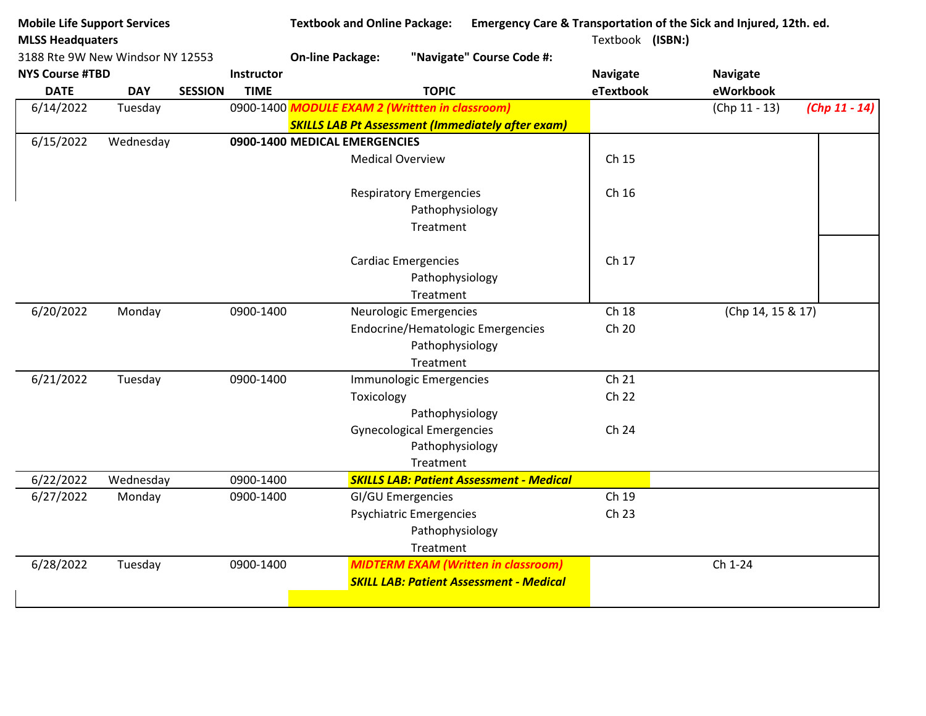| <b>Mobile Life Support Services</b><br><b>MLSS Headquaters</b><br>3188 Rte 9W New Windsor NY 12553 |            |                |                   | <b>Textbook and Online Package:</b><br>Emergency Care & Transportation of the Sick and Injured, 12th. ed. |                                                          |                 |                   |                 |  |  |
|----------------------------------------------------------------------------------------------------|------------|----------------|-------------------|-----------------------------------------------------------------------------------------------------------|----------------------------------------------------------|-----------------|-------------------|-----------------|--|--|
|                                                                                                    |            |                |                   |                                                                                                           |                                                          |                 | Textbook (ISBN:)  |                 |  |  |
|                                                                                                    |            |                |                   | <b>On-line Package:</b>                                                                                   | "Navigate" Course Code #:                                |                 |                   |                 |  |  |
| <b>NYS Course #TBD</b>                                                                             |            |                | <b>Instructor</b> |                                                                                                           |                                                          | <b>Navigate</b> | <b>Navigate</b>   |                 |  |  |
| <b>DATE</b>                                                                                        | <b>DAY</b> | <b>SESSION</b> | <b>TIME</b>       |                                                                                                           | <b>TOPIC</b>                                             | eTextbook       | eWorkbook         |                 |  |  |
| 6/14/2022                                                                                          | Tuesday    |                |                   |                                                                                                           | 0900-1400 MODULE EXAM 2 (Writtten in classroom)          |                 | $(Chp 11 - 13)$   | $(Chp 11 - 14)$ |  |  |
|                                                                                                    |            |                |                   |                                                                                                           | <b>SKILLS LAB Pt Assessment (Immediately after exam)</b> |                 |                   |                 |  |  |
| 6/15/2022                                                                                          | Wednesday  |                |                   | 0900-1400 MEDICAL EMERGENCIES                                                                             |                                                          |                 |                   |                 |  |  |
|                                                                                                    |            |                |                   |                                                                                                           | <b>Medical Overview</b>                                  | Ch 15           |                   |                 |  |  |
|                                                                                                    |            |                |                   |                                                                                                           | <b>Respiratory Emergencies</b>                           | Ch 16           |                   |                 |  |  |
|                                                                                                    |            |                |                   |                                                                                                           | Pathophysiology                                          |                 |                   |                 |  |  |
|                                                                                                    |            |                |                   |                                                                                                           | Treatment                                                |                 |                   |                 |  |  |
|                                                                                                    |            |                |                   |                                                                                                           |                                                          |                 |                   |                 |  |  |
|                                                                                                    |            |                |                   |                                                                                                           | <b>Cardiac Emergencies</b>                               | Ch 17           |                   |                 |  |  |
|                                                                                                    |            |                |                   |                                                                                                           | Pathophysiology                                          |                 |                   |                 |  |  |
|                                                                                                    |            |                |                   |                                                                                                           | Treatment                                                |                 |                   |                 |  |  |
| 6/20/2022                                                                                          | Monday     |                | 0900-1400         |                                                                                                           | Neurologic Emergencies                                   | Ch 18           | (Chp 14, 15 & 17) |                 |  |  |
|                                                                                                    |            |                |                   |                                                                                                           | <b>Endocrine/Hematologic Emergencies</b>                 | Ch 20           |                   |                 |  |  |
|                                                                                                    |            |                |                   |                                                                                                           | Pathophysiology                                          |                 |                   |                 |  |  |
|                                                                                                    |            |                |                   |                                                                                                           | Treatment                                                |                 |                   |                 |  |  |
| 6/21/2022                                                                                          | Tuesday    |                | 0900-1400         |                                                                                                           | <b>Immunologic Emergencies</b>                           | Ch 21           |                   |                 |  |  |
|                                                                                                    |            |                |                   | Toxicology                                                                                                |                                                          | Ch 22           |                   |                 |  |  |
|                                                                                                    |            |                |                   |                                                                                                           | Pathophysiology                                          |                 |                   |                 |  |  |
|                                                                                                    |            |                |                   |                                                                                                           | <b>Gynecological Emergencies</b>                         | Ch 24           |                   |                 |  |  |
|                                                                                                    |            |                |                   |                                                                                                           | Pathophysiology                                          |                 |                   |                 |  |  |
|                                                                                                    |            |                |                   |                                                                                                           | Treatment                                                |                 |                   |                 |  |  |
| 6/22/2022                                                                                          | Wednesday  |                | 0900-1400         |                                                                                                           | <b>SKILLS LAB: Patient Assessment - Medical</b>          |                 |                   |                 |  |  |
| 6/27/2022                                                                                          | Monday     |                | 0900-1400         |                                                                                                           | <b>GI/GU Emergencies</b>                                 | Ch 19           |                   |                 |  |  |
|                                                                                                    |            |                |                   |                                                                                                           | Psychiatric Emergencies                                  | Ch 23           |                   |                 |  |  |
|                                                                                                    |            |                |                   |                                                                                                           | Pathophysiology                                          |                 |                   |                 |  |  |
|                                                                                                    |            |                |                   |                                                                                                           | Treatment                                                |                 |                   |                 |  |  |
| 6/28/2022                                                                                          | Tuesday    |                | 0900-1400         |                                                                                                           | <b>MIDTERM EXAM (Written in classroom)</b>               |                 | Ch 1-24           |                 |  |  |
|                                                                                                    |            |                |                   |                                                                                                           | <b>SKILL LAB: Patient Assessment - Medical</b>           |                 |                   |                 |  |  |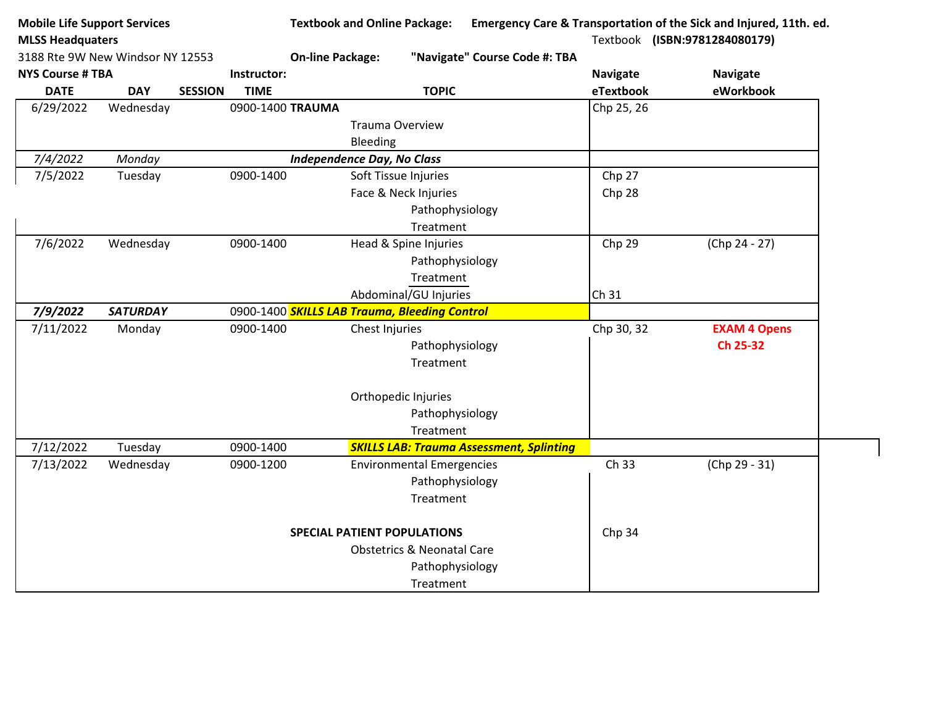| Textbook (ISBN:9781284080179)<br><b>MLSS Headquaters</b><br>3188 Rte 9W New Windsor NY 12553<br><b>On-line Package:</b><br>"Navigate" Course Code #: TBA<br>Instructor:<br><b>Navigate</b><br><b>Navigate</b><br><b>TOPIC</b><br>eWorkbook<br><b>DATE</b><br><b>DAY</b><br><b>SESSION</b><br>eTextbook<br><b>TIME</b><br>Chp 25, 26<br>6/29/2022<br>0900-1400 TRAUMA<br>Wednesday<br><b>Trauma Overview</b><br>Bleeding<br>7/4/2022<br>Monday<br><b>Independence Day, No Class</b><br>7/5/2022<br>Tuesday<br>0900-1400<br>Soft Tissue Injuries<br>Chp 27<br>Face & Neck Injuries<br>Chp 28<br>Pathophysiology<br>Treatment<br>Chp 29<br>(Chp 24 - 27)<br>7/6/2022<br>Wednesday<br>0900-1400<br>Head & Spine Injuries<br>Pathophysiology<br>Treatment<br>Abdominal/GU Injuries<br>Ch 31<br>7/9/2022<br><b>SATURDAY</b><br>0900-1400 SKILLS LAB Trauma, Bleeding Control<br>7/11/2022<br>Chp 30, 32<br><b>EXAM 4 Opens</b><br>Monday<br>0900-1400<br>Chest Injuries<br>Ch 25-32<br>Pathophysiology<br>Treatment<br>Orthopedic Injuries<br>Pathophysiology<br>Treatment<br>7/12/2022<br>0900-1400<br><b>SKILLS LAB: Trauma Assessment, Splinting</b><br>Tuesday<br>Ch 33<br>(Chp 29 - 31)<br>7/13/2022<br>Wednesday<br>0900-1200<br><b>Environmental Emergencies</b><br>Pathophysiology<br>Treatment<br><b>SPECIAL PATIENT POPULATIONS</b><br>Chp 34<br><b>Obstetrics &amp; Neonatal Care</b><br>Pathophysiology | <b>Mobile Life Support Services</b> |  | <b>Textbook and Online Package:</b> |  | Emergency Care & Transportation of the Sick and Injured, 11th. ed. |
|---------------------------------------------------------------------------------------------------------------------------------------------------------------------------------------------------------------------------------------------------------------------------------------------------------------------------------------------------------------------------------------------------------------------------------------------------------------------------------------------------------------------------------------------------------------------------------------------------------------------------------------------------------------------------------------------------------------------------------------------------------------------------------------------------------------------------------------------------------------------------------------------------------------------------------------------------------------------------------------------------------------------------------------------------------------------------------------------------------------------------------------------------------------------------------------------------------------------------------------------------------------------------------------------------------------------------------------------------------------------------------------------------------------|-------------------------------------|--|-------------------------------------|--|--------------------------------------------------------------------|
|                                                                                                                                                                                                                                                                                                                                                                                                                                                                                                                                                                                                                                                                                                                                                                                                                                                                                                                                                                                                                                                                                                                                                                                                                                                                                                                                                                                                               |                                     |  |                                     |  |                                                                    |
|                                                                                                                                                                                                                                                                                                                                                                                                                                                                                                                                                                                                                                                                                                                                                                                                                                                                                                                                                                                                                                                                                                                                                                                                                                                                                                                                                                                                               |                                     |  |                                     |  |                                                                    |
|                                                                                                                                                                                                                                                                                                                                                                                                                                                                                                                                                                                                                                                                                                                                                                                                                                                                                                                                                                                                                                                                                                                                                                                                                                                                                                                                                                                                               | <b>NYS Course # TBA</b>             |  |                                     |  |                                                                    |
|                                                                                                                                                                                                                                                                                                                                                                                                                                                                                                                                                                                                                                                                                                                                                                                                                                                                                                                                                                                                                                                                                                                                                                                                                                                                                                                                                                                                               |                                     |  |                                     |  |                                                                    |
|                                                                                                                                                                                                                                                                                                                                                                                                                                                                                                                                                                                                                                                                                                                                                                                                                                                                                                                                                                                                                                                                                                                                                                                                                                                                                                                                                                                                               |                                     |  |                                     |  |                                                                    |
|                                                                                                                                                                                                                                                                                                                                                                                                                                                                                                                                                                                                                                                                                                                                                                                                                                                                                                                                                                                                                                                                                                                                                                                                                                                                                                                                                                                                               |                                     |  |                                     |  |                                                                    |
|                                                                                                                                                                                                                                                                                                                                                                                                                                                                                                                                                                                                                                                                                                                                                                                                                                                                                                                                                                                                                                                                                                                                                                                                                                                                                                                                                                                                               |                                     |  |                                     |  |                                                                    |
|                                                                                                                                                                                                                                                                                                                                                                                                                                                                                                                                                                                                                                                                                                                                                                                                                                                                                                                                                                                                                                                                                                                                                                                                                                                                                                                                                                                                               |                                     |  |                                     |  |                                                                    |
|                                                                                                                                                                                                                                                                                                                                                                                                                                                                                                                                                                                                                                                                                                                                                                                                                                                                                                                                                                                                                                                                                                                                                                                                                                                                                                                                                                                                               |                                     |  |                                     |  |                                                                    |
|                                                                                                                                                                                                                                                                                                                                                                                                                                                                                                                                                                                                                                                                                                                                                                                                                                                                                                                                                                                                                                                                                                                                                                                                                                                                                                                                                                                                               |                                     |  |                                     |  |                                                                    |
|                                                                                                                                                                                                                                                                                                                                                                                                                                                                                                                                                                                                                                                                                                                                                                                                                                                                                                                                                                                                                                                                                                                                                                                                                                                                                                                                                                                                               |                                     |  |                                     |  |                                                                    |
|                                                                                                                                                                                                                                                                                                                                                                                                                                                                                                                                                                                                                                                                                                                                                                                                                                                                                                                                                                                                                                                                                                                                                                                                                                                                                                                                                                                                               |                                     |  |                                     |  |                                                                    |
|                                                                                                                                                                                                                                                                                                                                                                                                                                                                                                                                                                                                                                                                                                                                                                                                                                                                                                                                                                                                                                                                                                                                                                                                                                                                                                                                                                                                               |                                     |  |                                     |  |                                                                    |
|                                                                                                                                                                                                                                                                                                                                                                                                                                                                                                                                                                                                                                                                                                                                                                                                                                                                                                                                                                                                                                                                                                                                                                                                                                                                                                                                                                                                               |                                     |  |                                     |  |                                                                    |
|                                                                                                                                                                                                                                                                                                                                                                                                                                                                                                                                                                                                                                                                                                                                                                                                                                                                                                                                                                                                                                                                                                                                                                                                                                                                                                                                                                                                               |                                     |  |                                     |  |                                                                    |
|                                                                                                                                                                                                                                                                                                                                                                                                                                                                                                                                                                                                                                                                                                                                                                                                                                                                                                                                                                                                                                                                                                                                                                                                                                                                                                                                                                                                               |                                     |  |                                     |  |                                                                    |
|                                                                                                                                                                                                                                                                                                                                                                                                                                                                                                                                                                                                                                                                                                                                                                                                                                                                                                                                                                                                                                                                                                                                                                                                                                                                                                                                                                                                               |                                     |  |                                     |  |                                                                    |
|                                                                                                                                                                                                                                                                                                                                                                                                                                                                                                                                                                                                                                                                                                                                                                                                                                                                                                                                                                                                                                                                                                                                                                                                                                                                                                                                                                                                               |                                     |  |                                     |  |                                                                    |
|                                                                                                                                                                                                                                                                                                                                                                                                                                                                                                                                                                                                                                                                                                                                                                                                                                                                                                                                                                                                                                                                                                                                                                                                                                                                                                                                                                                                               |                                     |  |                                     |  |                                                                    |
|                                                                                                                                                                                                                                                                                                                                                                                                                                                                                                                                                                                                                                                                                                                                                                                                                                                                                                                                                                                                                                                                                                                                                                                                                                                                                                                                                                                                               |                                     |  |                                     |  |                                                                    |
|                                                                                                                                                                                                                                                                                                                                                                                                                                                                                                                                                                                                                                                                                                                                                                                                                                                                                                                                                                                                                                                                                                                                                                                                                                                                                                                                                                                                               |                                     |  |                                     |  |                                                                    |
|                                                                                                                                                                                                                                                                                                                                                                                                                                                                                                                                                                                                                                                                                                                                                                                                                                                                                                                                                                                                                                                                                                                                                                                                                                                                                                                                                                                                               |                                     |  |                                     |  |                                                                    |
|                                                                                                                                                                                                                                                                                                                                                                                                                                                                                                                                                                                                                                                                                                                                                                                                                                                                                                                                                                                                                                                                                                                                                                                                                                                                                                                                                                                                               |                                     |  |                                     |  |                                                                    |
|                                                                                                                                                                                                                                                                                                                                                                                                                                                                                                                                                                                                                                                                                                                                                                                                                                                                                                                                                                                                                                                                                                                                                                                                                                                                                                                                                                                                               |                                     |  |                                     |  |                                                                    |
|                                                                                                                                                                                                                                                                                                                                                                                                                                                                                                                                                                                                                                                                                                                                                                                                                                                                                                                                                                                                                                                                                                                                                                                                                                                                                                                                                                                                               |                                     |  |                                     |  |                                                                    |
|                                                                                                                                                                                                                                                                                                                                                                                                                                                                                                                                                                                                                                                                                                                                                                                                                                                                                                                                                                                                                                                                                                                                                                                                                                                                                                                                                                                                               |                                     |  |                                     |  |                                                                    |
|                                                                                                                                                                                                                                                                                                                                                                                                                                                                                                                                                                                                                                                                                                                                                                                                                                                                                                                                                                                                                                                                                                                                                                                                                                                                                                                                                                                                               |                                     |  |                                     |  |                                                                    |
|                                                                                                                                                                                                                                                                                                                                                                                                                                                                                                                                                                                                                                                                                                                                                                                                                                                                                                                                                                                                                                                                                                                                                                                                                                                                                                                                                                                                               |                                     |  |                                     |  |                                                                    |
|                                                                                                                                                                                                                                                                                                                                                                                                                                                                                                                                                                                                                                                                                                                                                                                                                                                                                                                                                                                                                                                                                                                                                                                                                                                                                                                                                                                                               |                                     |  |                                     |  |                                                                    |
|                                                                                                                                                                                                                                                                                                                                                                                                                                                                                                                                                                                                                                                                                                                                                                                                                                                                                                                                                                                                                                                                                                                                                                                                                                                                                                                                                                                                               |                                     |  |                                     |  |                                                                    |
|                                                                                                                                                                                                                                                                                                                                                                                                                                                                                                                                                                                                                                                                                                                                                                                                                                                                                                                                                                                                                                                                                                                                                                                                                                                                                                                                                                                                               |                                     |  | Treatment                           |  |                                                                    |